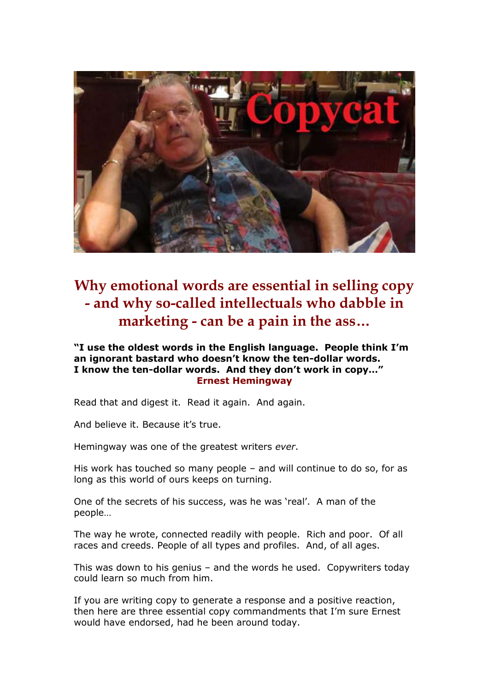

**Why emotional words are essential in selling copy - and why so-called intellectuals who dabble in marketing - can be a pain in the ass…**

**"I use the oldest words in the English language. People think I'm an ignorant bastard who doesn't know the ten-dollar words. I know the ten-dollar words. And they don't work in copy…" Ernest Hemingway**

Read that and digest it. Read it again. And again.

And believe it. Because it's true.

Hemingway was one of the greatest writers *ever*.

His work has touched so many people – and will continue to do so, for as long as this world of ours keeps on turning.

One of the secrets of his success, was he was 'real'. A man of the people…

The way he wrote, connected readily with people. Rich and poor. Of all races and creeds. People of all types and profiles. And, of all ages.

This was down to his genius – and the words he used. Copywriters today could learn so much from him.

If you are writing copy to generate a response and a positive reaction, then here are three essential copy commandments that I'm sure Ernest would have endorsed, had he been around today.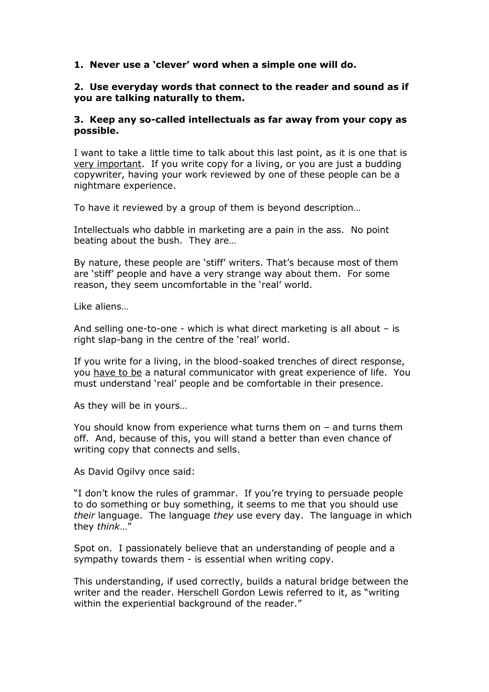# **1. Never use a 'clever' word when a simple one will do.**

### **2. Use everyday words that connect to the reader and sound as if you are talking naturally to them.**

### **3. Keep any so-called intellectuals as far away from your copy as possible.**

I want to take a little time to talk about this last point, as it is one that is very important. If you write copy for a living, or you are just a budding copywriter, having your work reviewed by one of these people can be a nightmare experience.

To have it reviewed by a group of them is beyond description…

Intellectuals who dabble in marketing are a pain in the ass. No point beating about the bush. They are…

By nature, these people are 'stiff' writers. That's because most of them are 'stiff' people and have a very strange way about them. For some reason, they seem uncomfortable in the 'real' world.

Like aliens…

And selling one-to-one - which is what direct marketing is all about – is right slap-bang in the centre of the 'real' world.

If you write for a living, in the blood-soaked trenches of direct response, you have to be a natural communicator with great experience of life. You must understand 'real' people and be comfortable in their presence.

As they will be in yours…

You should know from experience what turns them on – and turns them off. And, because of this, you will stand a better than even chance of writing copy that connects and sells.

As David Ogilvy once said:

"I don't know the rules of grammar. If you're trying to persuade people to do something or buy something, it seems to me that you should use *their* language. The language *they* use every day. The language in which they *think*…"

Spot on. I passionately believe that an understanding of people and a sympathy towards them - is essential when writing copy.

This understanding, if used correctly, builds a natural bridge between the writer and the reader. Herschell Gordon Lewis referred to it, as "writing within the experiential background of the reader."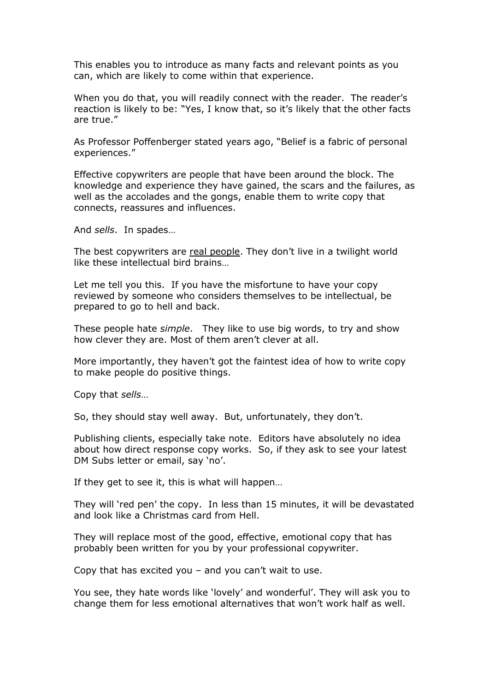This enables you to introduce as many facts and relevant points as you can, which are likely to come within that experience.

When you do that, you will readily connect with the reader. The reader's reaction is likely to be: "Yes, I know that, so it's likely that the other facts are true."

As Professor Poffenberger stated years ago, "Belief is a fabric of personal experiences."

Effective copywriters are people that have been around the block. The knowledge and experience they have gained, the scars and the failures, as well as the accolades and the gongs, enable them to write copy that connects, reassures and influences.

And *sells*. In spades…

The best copywriters are real people. They don't live in a twilight world like these intellectual bird brains…

Let me tell you this. If you have the misfortune to have your copy reviewed by someone who considers themselves to be intellectual, be prepared to go to hell and back.

These people hate *simple*. They like to use big words, to try and show how clever they are. Most of them aren't clever at all.

More importantly, they haven't got the faintest idea of how to write copy to make people do positive things.

Copy that *sells*…

So, they should stay well away. But, unfortunately, they don't.

Publishing clients, especially take note. Editors have absolutely no idea about how direct response copy works. So, if they ask to see your latest DM Subs letter or email, say 'no'.

If they get to see it, this is what will happen…

They will 'red pen' the copy. In less than 15 minutes, it will be devastated and look like a Christmas card from Hell.

They will replace most of the good, effective, emotional copy that has probably been written for you by your professional copywriter.

Copy that has excited you – and you can't wait to use.

You see, they hate words like 'lovely' and wonderful'. They will ask you to change them for less emotional alternatives that won't work half as well.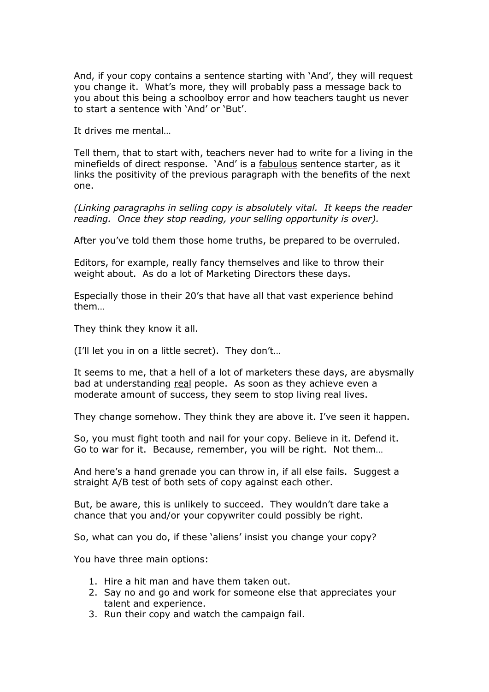And, if your copy contains a sentence starting with 'And', they will request you change it. What's more, they will probably pass a message back to you about this being a schoolboy error and how teachers taught us never to start a sentence with 'And' or 'But'.

It drives me mental…

Tell them, that to start with, teachers never had to write for a living in the minefields of direct response. 'And' is a fabulous sentence starter, as it links the positivity of the previous paragraph with the benefits of the next one.

*(Linking paragraphs in selling copy is absolutely vital. It keeps the reader reading. Once they stop reading, your selling opportunity is over).*

After you've told them those home truths, be prepared to be overruled.

Editors, for example, really fancy themselves and like to throw their weight about. As do a lot of Marketing Directors these days.

Especially those in their 20's that have all that vast experience behind them…

They think they know it all.

(I'll let you in on a little secret). They don't…

It seems to me, that a hell of a lot of marketers these days, are abysmally bad at understanding real people. As soon as they achieve even a moderate amount of success, they seem to stop living real lives.

They change somehow. They think they are above it. I've seen it happen.

So, you must fight tooth and nail for your copy. Believe in it. Defend it. Go to war for it. Because, remember, you will be right. Not them…

And here's a hand grenade you can throw in, if all else fails. Suggest a straight A/B test of both sets of copy against each other.

But, be aware, this is unlikely to succeed. They wouldn't dare take a chance that you and/or your copywriter could possibly be right.

So, what can you do, if these 'aliens' insist you change your copy?

You have three main options:

- 1. Hire a hit man and have them taken out.
- 2. Say no and go and work for someone else that appreciates your talent and experience.
- 3. Run their copy and watch the campaign fail.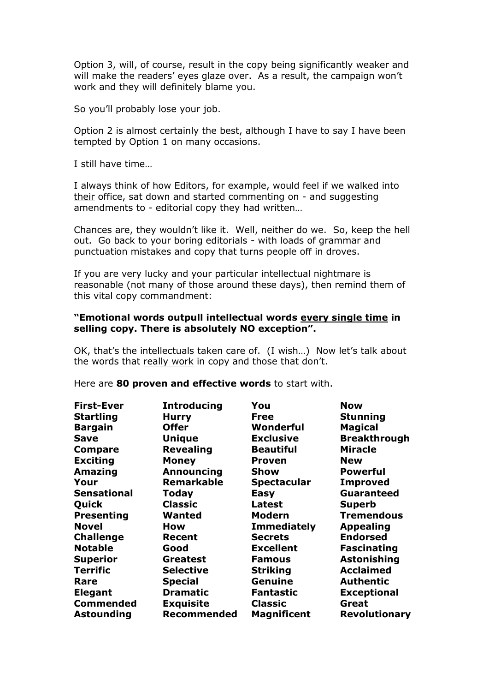Option 3, will, of course, result in the copy being significantly weaker and will make the readers' eyes glaze over. As a result, the campaign won't work and they will definitely blame you.

So you'll probably lose your job.

Option 2 is almost certainly the best, although I have to say I have been tempted by Option 1 on many occasions.

I still have time…

I always think of how Editors, for example, would feel if we walked into their office, sat down and started commenting on - and suggesting amendments to - editorial copy they had written...

Chances are, they wouldn't like it. Well, neither do we. So, keep the hell out. Go back to your boring editorials - with loads of grammar and punctuation mistakes and copy that turns people off in droves.

If you are very lucky and your particular intellectual nightmare is reasonable (not many of those around these days), then remind them of this vital copy commandment:

### **"Emotional words outpull intellectual words every single time in selling copy. There is absolutely NO exception".**

OK, that's the intellectuals taken care of. (I wish…) Now let's talk about the words that really work in copy and those that don't.

| <b>First-Ever</b>  | <b>Introducing</b> | You                | <b>Now</b>           |
|--------------------|--------------------|--------------------|----------------------|
| <b>Startling</b>   | <b>Hurry</b>       | <b>Free</b>        | <b>Stunning</b>      |
| <b>Bargain</b>     | <b>Offer</b>       | Wonderful          | <b>Magical</b>       |
| <b>Save</b>        | <b>Unique</b>      | <b>Exclusive</b>   | <b>Breakthrough</b>  |
| <b>Compare</b>     | <b>Revealing</b>   | <b>Beautiful</b>   | <b>Miracle</b>       |
| <b>Exciting</b>    | <b>Money</b>       | <b>Proven</b>      | <b>New</b>           |
| Amazing            | Announcing         | <b>Show</b>        | <b>Powerful</b>      |
| Your               | <b>Remarkable</b>  | <b>Spectacular</b> | <b>Improved</b>      |
| <b>Sensational</b> | <b>Today</b>       | <b>Easy</b>        | <b>Guaranteed</b>    |
| Quick              | <b>Classic</b>     | <b>Latest</b>      | <b>Superb</b>        |
| <b>Presenting</b>  | Wanted             | <b>Modern</b>      | <b>Tremendous</b>    |
| <b>Novel</b>       | How                | <b>Immediately</b> | <b>Appealing</b>     |
| <b>Challenge</b>   | Recent             | <b>Secrets</b>     | <b>Endorsed</b>      |
| <b>Notable</b>     | Good               | <b>Excellent</b>   | <b>Fascinating</b>   |
| <b>Superior</b>    | <b>Greatest</b>    | <b>Famous</b>      | <b>Astonishing</b>   |
| <b>Terrific</b>    | <b>Selective</b>   | <b>Striking</b>    | <b>Acclaimed</b>     |
| Rare               | <b>Special</b>     | Genuine            | <b>Authentic</b>     |
| <b>Elegant</b>     | <b>Dramatic</b>    | <b>Fantastic</b>   | <b>Exceptional</b>   |
| <b>Commended</b>   | <b>Exquisite</b>   | <b>Classic</b>     | Great                |
| <b>Astounding</b>  | <b>Recommended</b> | <b>Magnificent</b> | <b>Revolutionary</b> |

Here are **80 proven and effective words** to start with.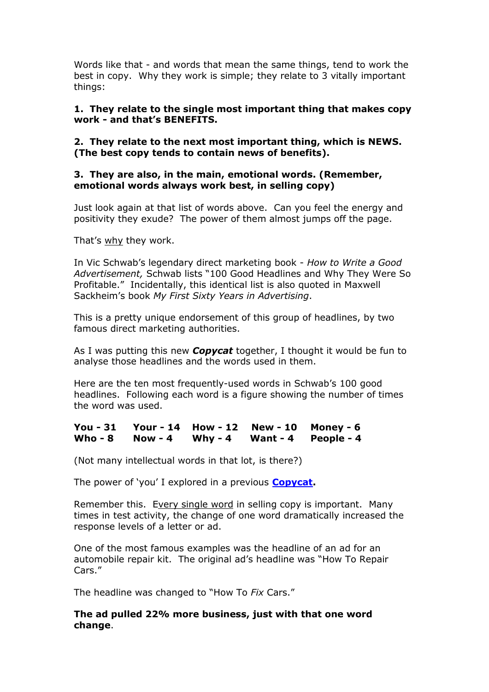Words like that - and words that mean the same things, tend to work the best in copy. Why they work is simple; they relate to 3 vitally important things:

# **1. They relate to the single most important thing that makes copy work - and that's BENEFITS.**

**2. They relate to the next most important thing, which is NEWS. (The best copy tends to contain news of benefits).**

# **3. They are also, in the main, emotional words. (Remember, emotional words always work best, in selling copy)**

Just look again at that list of words above. Can you feel the energy and positivity they exude? The power of them almost jumps off the page.

That's why they work.

In Vic Schwab's legendary direct marketing book - *How to Write a Good Advertisement,* Schwab lists "100 Good Headlines and Why They Were So Profitable." Incidentally, this identical list is also quoted in Maxwell Sackheim's book *My First Sixty Years in Advertising*.

This is a pretty unique endorsement of this group of headlines, by two famous direct marketing authorities.

As I was putting this new *Copycat* together, I thought it would be fun to analyse those headlines and the words used in them.

Here are the ten most frequently-used words in Schwab's 100 good headlines. Following each word is a figure showing the number of times the word was used.

### **You - 31 Your - 14 How - 12 New - 10 Money - 6 Who - 8 Now - 4 Why - 4 Want - 4 People - 4**

(Not many intellectual words in that lot, is there?)

The power of 'you' I explored in a previous **[Copycat.](http://www.andyowencopyandcreative.com/pdfs/copywriting_Power_Words_FREE_YOU_Ed_McLean_Newsweek.pdf)**

Remember this. Every single word in selling copy is important. Many times in test activity, the change of one word dramatically increased the response levels of a letter or ad.

One of the most famous examples was the headline of an ad for an automobile repair kit. The original ad's headline was "How To Repair Cars."

The headline was changed to "How To *Fix* Cars."

# **The ad pulled 22% more business, just with that one word change**.